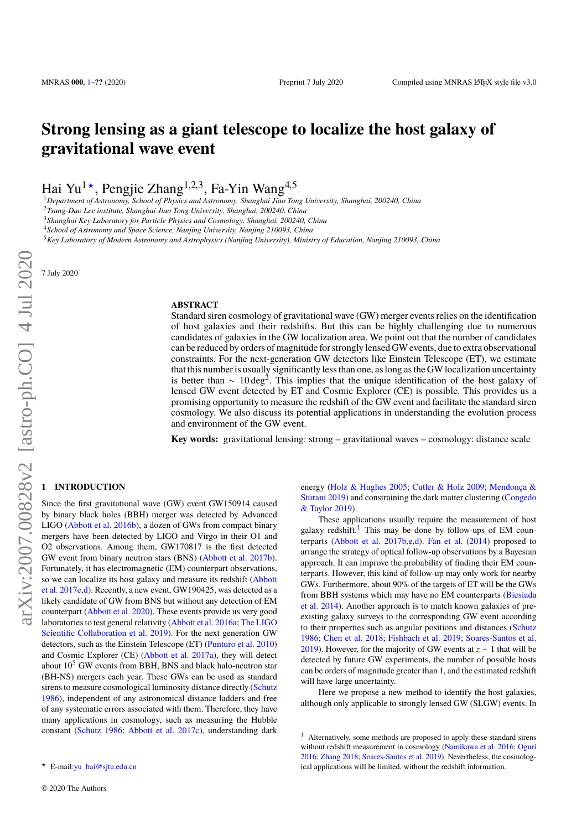# **Strong lensing as a giant telescope to localize the host galaxy of gravitational wave event**

Hai Yu<sup>1\*</sup>, Pengjie Zhang<sup>1,2,3</sup>, Fa-Yin Wang<sup>4,5</sup>

<sup>1</sup>*Department of Astronomy, School of Physics and Astronomy, Shanghai Jiao Tong University, Shanghai, 200240, China*

<sup>2</sup>*Tsung-Dao Lee institute, Shanghai Jiao Tong University, Shanghai, 200240, China*

<sup>3</sup>*Shanghai Key Laboratory for Particle Physics and Cosmology, Shanghai, 200240, China*

<sup>4</sup>*School of Astronomy and Space Science, Nanjing University, Nanjing 210093, China*

<sup>5</sup>*Key Laboratory of Modern Astronomy and Astrophysics (Nanjing University), Ministry of Education, Nanjing 210093, China*

7 July 2020

## **ABSTRACT**

Standard siren cosmology of gravitational wave (GW) merger events relies on the identification of host galaxies and their redshifts. But this can be highly challenging due to numerous candidates of galaxies in the GW localization area. We point out that the number of candidates can be reduced by orders of magnitude for strongly lensed GW events, due to extra observational constraints. For the next-generation GW detectors like Einstein Telescope (ET), we estimate that this number is usually significantly less than one, as long as the GW localization uncertainty is better than ~ 10 deg<sup>2</sup>. This implies that the unique identification of the host galaxy of lensed GW event detected by ET and Cosmic Explorer (CE) is possible. This provides us a promising opportunity to measure the redshift of the GW event and facilitate the standard siren cosmology. We also discuss its potential applications in understanding the evolution process and environment of the GW event.

**Key words:** gravitational lensing: strong – gravitational waves – cosmology: distance scale

# <span id="page-0-0"></span>**1 INTRODUCTION**

Since the first gravitational wave (GW) event GW150914 caused by binary black holes (BBH) merger was detected by Advanced LIGO [\(Abbott et al.](#page-5-0) [2016b\)](#page-5-0), a dozen of GWs from compact binary mergers have been detected by LIGO and Virgo in their O1 and O2 observations. Among them, GW170817 is the first detected GW event from binary neutron stars (BNS) [\(Abbott et al.](#page-5-1) [2017b\)](#page-5-1). Fortunately, it has electromagnetic (EM) counterpart observations, so we can localize its host galaxy and measure its redshift [\(Abbott](#page-5-2) [et al.](#page-5-2) [2017e,](#page-5-2)[d\)](#page-5-3). Recently, a new event, GW190425, was detected as a likely candidate of GW from BNS but without any detection of EM counterpart [\(Abbott et al.](#page-5-4) [2020\)](#page-5-4). These events provide us very good laboratories to test general relativity [\(Abbott et al.](#page-5-5) [2016a;](#page-5-5) [The LIGO](#page-5-6) [Scientific Collaboration et al.](#page-5-6) [2019\)](#page-5-6). For the next generation GW detectors, such as the Einstein Telescope (ET) [\(Punturo et al.](#page-5-7) [2010\)](#page-5-7) and Cosmic Explorer (CE) [\(Abbott et al.](#page-5-8) [2017a\)](#page-5-8), they will detect about  $10<sup>5</sup>$  GW events from BBH, BNS and black halo-neutron star (BH-NS) mergers each year. These GWs can be used as standard sirens to measure cosmological luminosity distance directly [\(Schutz](#page-5-9) [1986\)](#page-5-9), independent of any astronomical distance ladders and free of any systematic errors associated with them. Therefore, they have many applications in cosmology, such as measuring the Hubble constant [\(Schutz](#page-5-9) [1986;](#page-5-9) [Abbott et al.](#page-5-10) [2017c\)](#page-5-10), understanding dark

energy [\(Holz & Hughes](#page-5-11) [2005;](#page-5-11) [Cutler & Holz](#page-5-12) [2009;](#page-5-12) [Mendonça &](#page-5-13) [Sturani](#page-5-13) [2019\)](#page-5-13) and constraining the dark matter clustering [\(Congedo](#page-5-14) [& Taylor](#page-5-14) [2019\)](#page-5-14).

These applications usually require the measurement of host galaxy redshift.<sup>[1](#page-0-1)</sup> This may be done by follow-ups of EM counterparts [\(Abbott et al.](#page-5-1) [2017b,](#page-5-1)[e](#page-5-2)[,d\)](#page-5-3). [Fan et al.](#page-5-15) [\(2014\)](#page-5-15) proposed to arrange the strategy of optical follow-up observations by a Bayesian approach. It can improve the probability of finding their EM counterparts. However, this kind of follow-up may only work for nearby GWs. Furthermore, about 90% of the targets of ET will be the GWs from BBH systems which may have no EM counterparts [\(Biesiada](#page-5-16) [et al.](#page-5-16) [2014\)](#page-5-16). Another approach is to match known galaxies of preexisting galaxy surveys to the corresponding GW event according to their properties such as angular positions and distances [\(Schutz](#page-5-9) [1986;](#page-5-9) [Chen et al.](#page-5-17) [2018;](#page-5-17) [Fishbach et al.](#page-5-18) [2019;](#page-5-18) [Soares-Santos et al.](#page-5-19) [2019\)](#page-5-19). However, for the majority of GW events at *z* ∼ 1 that will be detected by future GW experiments, the number of possible hosts can be orders of magnitude greater than 1, and the estimated redshift will have large uncertainty.

Here we propose a new method to identify the host galaxies, although only applicable to strongly lensed GW (SLGW) events. In

<sup>\*</sup> E-mail[:yu\\_hai@sjtu.edu.cn](mailto:yu\protect _hai@sjtu.edu.cn)

<span id="page-0-1"></span><sup>&</sup>lt;sup>1</sup> Alternatively, some methods are proposed to apply these standard sirens without redshift measurement in cosmology [\(Namikawa et al.](#page-5-20) [2016;](#page-5-20) [Oguri](#page-5-21) [2016;](#page-5-21) [Zhang](#page-5-22) [2018;](#page-5-22) [Soares-Santos et al.](#page-5-19) [2019\)](#page-5-19). Nevertheless, the cosmological applications will be limited, without the redshift information.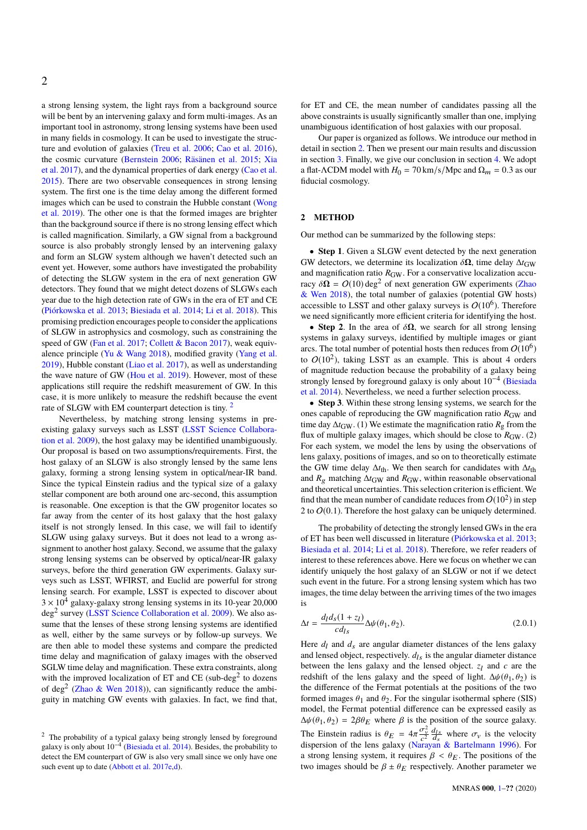a strong lensing system, the light rays from a background source will be bent by an intervening galaxy and form multi-images. As an important tool in astronomy, strong lensing systems have been used in many fields in cosmology. It can be used to investigate the structure and evolution of galaxies [\(Treu et al.](#page-5-23) [2006;](#page-5-23) [Cao et al.](#page-5-24) [2016\)](#page-5-24), the cosmic curvature [\(Bernstein](#page-5-25) [2006;](#page-5-25) [Räsänen et al.](#page-5-26) [2015;](#page-5-26) [Xia](#page-5-27) [et al.](#page-5-27) [2017\)](#page-5-27), and the dynamical properties of dark energy [\(Cao et al.](#page-5-28) [2015\)](#page-5-28). There are two observable consequences in strong lensing system. The first one is the time delay among the different formed images which can be used to constrain the Hubble constant [\(Wong](#page-5-29) [et al.](#page-5-29) [2019\)](#page-5-29). The other one is that the formed images are brighter than the background source if there is no strong lensing effect which is called magnification. Similarly, a GW signal from a background source is also probably strongly lensed by an intervening galaxy and form an SLGW system although we haven't detected such an event yet. However, some authors have investigated the probability of detecting the SLGW system in the era of next generation GW detectors. They found that we might detect dozens of SLGWs each year due to the high detection rate of GWs in the era of ET and CE [\(Piórkowska et al.](#page-5-30) [2013;](#page-5-30) [Biesiada et al.](#page-5-16) [2014;](#page-5-16) [Li et al.](#page-5-31) [2018\)](#page-5-31). This promising prediction encourages people to consider the applications of SLGW in astrophysics and cosmology, such as constraining the speed of GW [\(Fan et al.](#page-5-32) [2017;](#page-5-32) [Collett & Bacon](#page-5-33) [2017\)](#page-5-33), weak equivalence principle [\(Yu & Wang](#page-5-34) [2018\)](#page-5-34), modified gravity [\(Yang et al.](#page-5-35) [2019\)](#page-5-35), Hubble constant [\(Liao et al.](#page-5-36) [2017\)](#page-5-36), as well as understanding the wave nature of GW [\(Hou et al.](#page-5-37) [2019\)](#page-5-37). However, most of these applications still require the redshift measurement of GW. In this case, it is more unlikely to measure the redshift because the event rate of SLGW with EM counterpart detection is tiny.  $\frac{2}{3}$  $\frac{2}{3}$  $\frac{2}{3}$ 

Nevertheless, by matching strong lensing systems in preexisting galaxy surveys such as LSST [\(LSST Science Collabora](#page-5-38)[tion et al.](#page-5-38) [2009\)](#page-5-38), the host galaxy may be identified unambiguously. Our proposal is based on two assumptions/requirements. First, the host galaxy of an SLGW is also strongly lensed by the same lens galaxy, forming a strong lensing system in optical/near-IR band. Since the typical Einstein radius and the typical size of a galaxy stellar component are both around one arc-second, this assumption is reasonable. One exception is that the GW progenitor locates so far away from the center of its host galaxy that the host galaxy itself is not strongly lensed. In this case, we will fail to identify SLGW using galaxy surveys. But it does not lead to a wrong assignment to another host galaxy. Second, we assume that the galaxy strong lensing systems can be observed by optical/near-IR galaxy surveys, before the third generation GW experiments. Galaxy surveys such as LSST, WFIRST, and Euclid are powerful for strong lensing search. For example, LSST is expected to discover about  $3 \times 10^4$  galaxy-galaxy strong lensing systems in its 10-year 20,000 deg<sup>2</sup> survey [\(LSST Science Collaboration et al.](#page-5-38) [2009\)](#page-5-38). We also assume that the lenses of these strong lensing systems are identified as well, either by the same surveys or by follow-up surveys. We are then able to model these systems and compare the predicted time delay and magnification of galaxy images with the observed SGLW time delay and magnification. These extra constraints, along with the improved localization of ET and CE (sub-deg<sup>2</sup> to dozens of deg<sup>2</sup> [\(Zhao & Wen](#page-5-39) [2018\)](#page-5-39)), can significantly reduce the ambiguity in matching GW events with galaxies. In fact, we find that,

for ET and CE, the mean number of candidates passing all the above constraints is usually significantly smaller than one, implying unambiguous identification of host galaxies with our proposal.

Our paper is organized as follows. We introduce our method in detail in section [2.](#page-1-1) Then we present our main results and discussion in section [3.](#page-2-0) Finally, we give our conclusion in section [4.](#page-4-0) We adopt a flat-ΛCDM model with  $H_0 = 70 \text{ km/s/Mpc}$  and  $\Omega_m = 0.3$  as our fiducial cosmology.

#### <span id="page-1-1"></span>**2 METHOD**

Our method can be summarized by the following steps:

• **Step 1**. Given a SLGW event detected by the next generation GW detectors, we determine its localization <sup>δ</sup>**Ω**, time delay <sup>∆</sup>*t*GW and magnification ratio  $R_{\text{GW}}$ . For a conservative localization accuracy  $\delta \Omega = O(10) \text{ deg}^2$  of next generation GW experiments [\(Zhao](#page-5-39) [& Wen](#page-5-39) [2018\)](#page-5-39), the total number of galaxies (potential GW hosts) accessible to LSST and other galaxy surveys is  $O(10^6)$ . Therefore we need significantly more efficient criteria for identifying the host.

• **Step 2**. In the area of  $\delta\Omega$ , we search for all strong lensing systems in galaxy surveys, identified by multiple images or giant arcs. The total number of potential hosts then reduces from  $O(10^6)$ to  $O(10^2)$ , taking LSST as an example. This is about 4 orders of magnitude reduction because the probability of a galaxy being strongly lensed by foreground galaxy is only about 10−<sup>4</sup> [\(Biesiada](#page-5-16) [et al.](#page-5-16) [2014\)](#page-5-16). Nevertheless, we need a further selection process.

• **Step 3**. Within these strong lensing systems, we search for the ones capable of reproducing the GW magnification ratio  $R_{\text{GW}}$  and time day  $\Delta t_{GW}$ . (1) We estimate the magnification ratio  $R_g$  from the flux of multiple galaxy images, which should be close to  $R_{\text{GW}}$ . (2) For each system, we model the lens by using the observations of lens galaxy, positions of images, and so on to theoretically estimate the GW time delay ∆*t*<sub>th</sub>. We then search for candidates with ∆*t*<sub>th</sub> and  $R_g$  matching  $\Delta t$ <sub>GW</sub> and  $R_{GW}$ , within reasonable observational and theoretical uncertainties. This selection criterion is efficient. We find that the mean number of candidate reduces from  $O(10^2)$  in step 2 to  $O(0.1)$ . Therefore the host galaxy can be uniquely determined.

The probability of detecting the strongly lensed GWs in the era of ET has been well discussed in literature [\(Piórkowska et al.](#page-5-30) [2013;](#page-5-30) [Biesiada et al.](#page-5-16) [2014;](#page-5-16) [Li et al.](#page-5-31) [2018\)](#page-5-31). Therefore, we refer readers of interest to these references above. Here we focus on whether we can identify uniquely the host galaxy of an SLGW or not if we detect such event in the future. For a strong lensing system which has two images, the time delay between the arriving times of the two images is

$$
\Delta t = \frac{d_l d_s (1 + z_l)}{c d_{ls}} \Delta \psi(\theta_1, \theta_2).
$$
\n(2.0.1)

Here  $d_l$  and  $d_s$  are angular diameter distances of the lens galaxy and lensed object, respectively.  $d_{l,s}$  is the angular diameter distance between the lens galaxy and the lensed object.  $z_l$  and  $c$  are the redshift of the lens galaxy and the speed of light.  $\Delta \psi(\theta_1, \theta_2)$  is the difference of the Fermat potentials at the positions of the two formed images  $\theta_1$  and  $\theta_2$ . For the singular isothermal sphere (SIS) model, the Fermat potential difference can be expressed easily as  $\Delta \psi(\theta_1, \theta_2) = 2\beta \theta_E$  where  $\beta$  is the position of the source galaxy. The Einstein radius is  $\theta_E = 4\pi \frac{\sigma_v^2}{c^2} \frac{d_{Is}}{ds}$  where  $\sigma_v$  is the velocity dispersion of the lens galaxy [\(Narayan & Bartelmann](#page-5-40) [1996\)](#page-5-40). For a strong lensing system, it requires  $\beta < \theta_E$ . The positions of the two images should be  $\beta \pm \theta_E$  respectively. Another parameter we

<span id="page-1-0"></span><sup>&</sup>lt;sup>2</sup> The probability of a typical galaxy being strongly lensed by foreground galaxy is only about  $10^{-4}$  [\(Biesiada et al.](#page-5-16) [2014\)](#page-5-16). Besides, the probability to detect the EM counterpart of GW is also very small since we only have one such event up to date [\(Abbott et al.](#page-5-2) [2017e](#page-5-2)[,d\)](#page-5-3).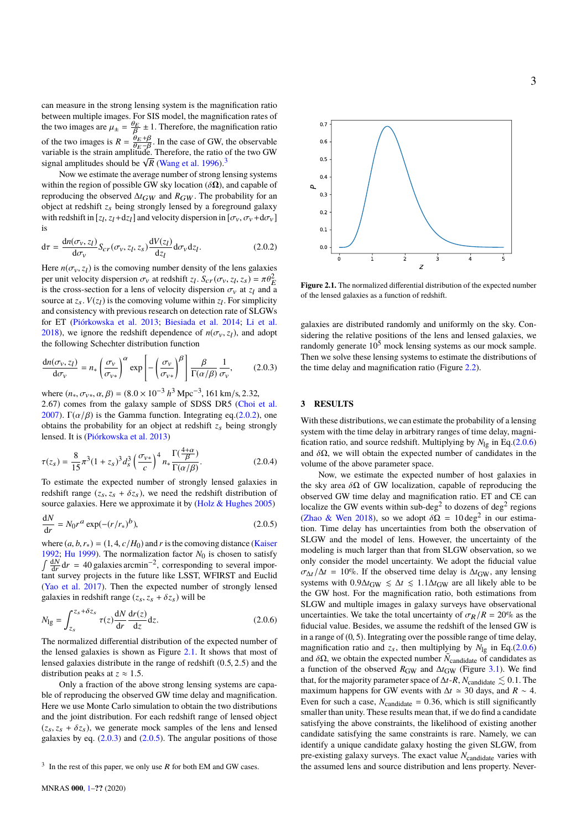can measure in the strong lensing system is the magnification ratio between multiple images. For SIS model, the magnification rates of the two images are  $\mu_{\pm} = \frac{\theta_E}{\beta} \pm 1$ . Therefore, the magnification ratio of the two images is  $R = \frac{\theta_E + \beta}{\theta_E - \beta}$ . In the case of GW, the observable variable is the strain amplitude. Therefore, the ratio of the two GW variable is the strain amplitude. Therefore, the ratio of the two GW variable is the strain amplitude. Therefore, the ratio of signal amplitudes should be  $\sqrt{R}$  [\(Wang et al.](#page-5-41) [1996\)](#page-5-41).<sup>[3](#page-2-1)</sup>

Now we estimate the average number of strong lensing systems within the region of possible GW sky location ( $\delta\Omega$ ), and capable of reproducing the observed  $\Delta t_{GW}$  and  $R_{GW}$ . The probability for an object at redshift *z*s being strongly lensed by a foreground galaxy with redshift in [ $z_l$ ,  $z_l$ +d $z_l$ ] and velocity dispersion in [ $\sigma_v$ ,  $\sigma_v$ +d $\sigma_v$ ] is

<span id="page-2-2"></span>
$$
d\tau = \frac{dn(\sigma_V, z_l)}{d\sigma_V} S_{cr}(\sigma_V, z_l, z_s) \frac{dV(z_l)}{dz_l} d\sigma_V dz_l.
$$
 (2.0.2)

Here  $n(\sigma_v, z_l)$  is the comoving number density of the lens galaxies<br>per unit velocity dispersion  $\sigma_v$  at redshift  $z_i$ ,  $S_v$  ( $\sigma_v$ ,  $z_i$ ,  $z_i$ ) –  $\pi r^2$ per unit velocity dispersion  $\sigma_v$  at redshift *z*<sub>l</sub>.  $S_{cr}(\sigma_v, z_l, z_s) = \pi \theta_E^2$ <br>is the cross-section for a lens of velocity dispersion  $\sigma_v$  at z<sub>n</sub> and a is the cross-section for a lens of velocity dispersion  $\sigma_v$  at  $z_l$  and a source at  $z_s$ .  $V(z_l)$  is the comoving volume within  $z_l$ . For simplicity and consistency with previous research on detection rate of SLGWs for ET [\(Piórkowska et al.](#page-5-30) [2013;](#page-5-30) [Biesiada et al.](#page-5-16) [2014;](#page-5-16) [Li et al.](#page-5-31) [2018\)](#page-5-31), we ignore the redshift dependence of  $n(\sigma_v, z_l)$ , and adopt the following Schechter distribution function the following Schechter distribution function

$$
\frac{dn(\sigma_{\nu}, z_l)}{d\sigma_{\nu}} = n_* \left(\frac{\sigma_{\nu}}{\sigma_{\nu*}}\right)^{\alpha} \exp\left[-\left(\frac{\sigma_{\nu}}{\sigma_{\nu*}}\right)^{\beta}\right] \frac{\beta}{\Gamma(\alpha/\beta)} \frac{1}{\sigma_{\nu}},\tag{2.0.3}
$$

where  $(n_*, \sigma_{v*}, \alpha, \beta) = (8.0 \times 10^{-3} h^3 \text{ Mpc}^{-3}, 161 \text{ km/s}, 2.32, 2.67)$  comes from the galaxy sample of SDSS DP5 (Choi <sup>2</sup>.67) comes from the galaxy sample of SDSS DR5 [\(Choi et al.](#page-5-42) [2007\)](#page-5-42).  $\Gamma(\alpha/\beta)$  is the Gamma function. Integrating eq.[\(2.0.2\)](#page-2-2), one obtains the probability for an object at redshift  $z_s$  being strongly lensed. It is [\(Piórkowska et al.](#page-5-30) [2013\)](#page-5-30)

$$
\tau(z_s) = \frac{8}{15}\pi^3(1+z_s)^3d_s^3\left(\frac{\sigma_{v*}}{c}\right)^4 n_* \frac{\Gamma(\frac{4+\alpha}{\beta})}{\Gamma(\alpha/\beta)}.
$$
\nTo estimate the expected number of strongly lensed galaxies in

redshift range  $(z_s, z_s + \delta z_s)$ , we need the redshift distribution of source galaxies. Here we approximate it by [\(Holz & Hughes](#page-5-11) [2005\)](#page-5-11)

$$
\frac{\mathrm{d}N}{\mathrm{d}r} = N_0 r^a \exp(-(r/r_*)^b),\tag{2.0.5}
$$

where  $(a, b, r_*) = (1, 4, c/H_0)$  and *r* is the comoving distance [\(Kaiser](#page-5-43) [1992;](#page-5-43) [Hu](#page-5-44) [1999\)](#page-5-44). The normalization factor  $N_0$  is chosen to satisfy  $\int \frac{dN}{dr} dr = 40$  galaxies arcmin<sup>-2</sup>, corresponding to several important survey projects in the future like LSST, WFIRST and Euclid [\(Yao et al.](#page-5-45) [2017\)](#page-5-45). Then the expected number of strongly lensed galaxies in redshift range  $(z_s, z_s + \delta z_s)$  will be

$$
N_{\rm lg} = \int_{z_s}^{z_s + \delta z_s} \tau(z) \frac{\mathrm{d}N}{\mathrm{d}r} \frac{\mathrm{d}r(z)}{\mathrm{d}z} \mathrm{d}z.
$$
 (2.0.6)

The normalized differential distribution of the expected number of the lensed galaxies is shown as Figure [2.1.](#page-2-3) It shows that most of lensed galaxies distribute in the range of redshift (0.5, <sup>2</sup>.5) and the distribution peaks at  $z \approx 1.5$ .

Only a fraction of the above strong lensing systems are capable of reproducing the observed GW time delay and magnification. Here we use Monte Carlo simulation to obtain the two distributions and the joint distribution. For each redshift range of lensed object  $(z<sub>s</sub>, z<sub>s</sub> + \delta z<sub>s</sub>)$ , we generate mock samples of the lens and lensed galaxies by eq.  $(2.0.3)$  and  $(2.0.5)$ . The angular positions of those

<span id="page-2-3"></span>

**Figure 2.1.** The normalized differential distribution of the expected number of the lensed galaxies as a function of redshift.

<span id="page-2-4"></span>galaxies are distributed randomly and uniformly on the sky. Considering the relative positions of the lens and lensed galaxies, we randomly generate  $10<sup>5</sup>$  mock lensing systems as our mock sample. Then we solve these lensing systems to estimate the distributions of the time delay and magnification ratio (Figure [2.2\)](#page-3-0).

## <span id="page-2-0"></span>**3 RESULTS**

With these distributions, we can estimate the probability of a lensing system with the time delay in arbitrary ranges of time delay, magnification ratio, and source redshift. Multiplying by  $N_{lg}$  in Eq.[\(2.0.6\)](#page-2-6) and  $\delta\Omega$ , we will obtain the expected number of candidates in the volume of the above parameter space.

<span id="page-2-6"></span><span id="page-2-5"></span>Now, we estimate the expected number of host galaxies in the sky area  $\delta\Omega$  of GW localization, capable of reproducing the observed GW time delay and magnification ratio. ET and CE can localize the GW events within sub-deg<sup>2</sup> to dozens of deg<sup>2</sup> regions [\(Zhao & Wen](#page-5-39) [2018\)](#page-5-39), so we adopt  $\delta\Omega = 10 \text{ deg}^2$  in our estimation. Time delay has uncertainties from both the observation of tion. Time delay has uncertainties from both the observation of SLGW and the model of lens. However, the uncertainty of the modeling is much larger than that from SLGW observation, so we only consider the model uncertainty. We adopt the fiducial value  $\sigma_{\Delta t}/\Delta t = 10\%$ . If the observed time delay is  $\Delta t$ <sub>GW</sub>, any lensing systems with  $0.9\Delta t$ <sub>GW</sub>  $\leq \Delta t \leq 1.1\Delta t$ <sub>GW</sub> are all likely able to be the GW host. For the magnification ratio, both estimations from SLGW and multiple images in galaxy surveys have observational uncertainties. We take the total uncertainty of  $\sigma_R/R = 20\%$  as the fiducial value. Besides, we assume the redshift of the lensed GW is in a range of (0, <sup>5</sup>). Integrating over the possible range of time delay, magnification ratio and  $z_s$ , then multiplying by  $N_{lg}$  in Eq.[\(2.0.6\)](#page-2-6) and  $\delta\Omega$ , we obtain the expected number  $\bar{N}_{\text{candidate}}$  of candidates as a function of the observed *R*GW and ∆*t*GW (Figure [3.1\)](#page-3-1). We find that, for the majority parameter space of  $\Delta t$ -*R*,  $N_{\text{candidate}} \lesssim 0.1$ . The maximum happens for GW events with  $\Delta t \approx 30$  days, and  $R \sim 4$ . Even for such a case,  $N_{\text{candidate}} = 0.36$ , which is still significantly smaller than unity. These results mean that, if we do find a candidate satisfying the above constraints, the likelihood of existing another candidate satisfying the same constraints is rare. Namely, we can identify a unique candidate galaxy hosting the given SLGW, from pre-existing galaxy surveys. The exact value *N*<sub>candidate</sub> varies with the assumed lens and source distribution and lens property. Never-

<span id="page-2-1"></span> $3\,$  In the rest of this paper, we only use R for both EM and GW cases.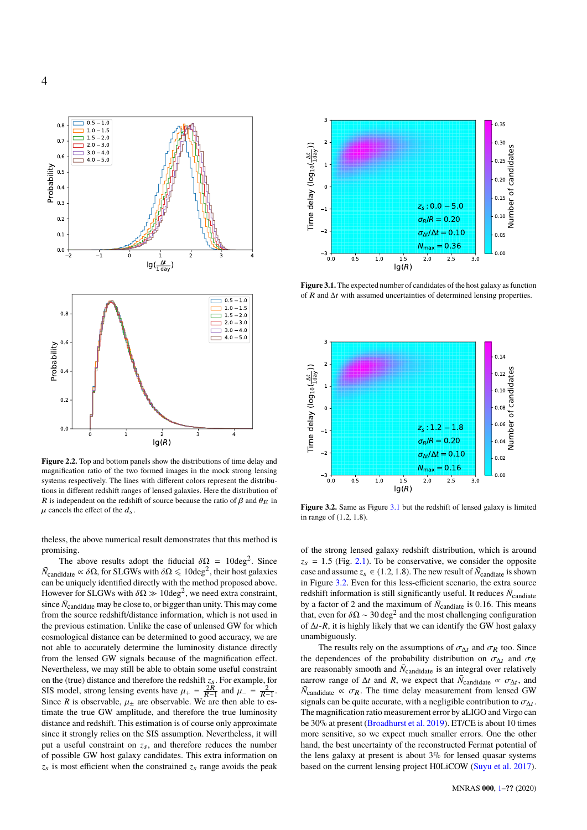<span id="page-3-0"></span>

**Figure 2.2.** Top and bottom panels show the distributions of time delay and magnification ratio of the two formed images in the mock strong lensing systems respectively. The lines with different colors represent the distributions in different redshift ranges of lensed galaxies. Here the distribution of R is independent on the redshift of source because the ratio of  $\beta$  and  $\theta_E$  in  $\mu$  cancels the effect of the  $d_s$ .

theless, the above numerical result demonstrates that this method is promising.

The above results adopt the fiducial  $\delta \Omega = 10 \text{deg}^2$ . Since  $\bar{N}_{\text{candidate}} \propto \delta\Omega$ , for SLGWs with  $\delta\Omega \leq 10 \text{deg}^2$ , their host galaxies can be uniquely identified directly with the method proposed above can be uniquely identified directly with the method proposed above. However for SLGWs with  $\delta\Omega \gg 10 \text{deg}^2$ , we need extra constraint, since  $\bar{N}$  and  $\bar{N}$  and  $\bar{N}$  and  $\bar{N}$  and  $\bar{N}$  and  $\bar{N}$  and  $\bar{N}$  and  $\bar{N}$  and  $\bar{N}$  and  $\bar{N}$  and  $\bar{N}$  and  $\bar{N}$  and since  $\bar{N}_{\rm candidate}$  may be close to, or bigger than unity. This may come from the source redshift/distance information, which is not used in the previous estimation. Unlike the case of unlensed GW for which cosmological distance can be determined to good accuracy, we are not able to accurately determine the luminosity distance directly from the lensed GW signals because of the magnification effect. Nevertheless, we may still be able to obtain some useful constraint on the (true) distance and therefore the redshift *z<sub>s</sub>*. For example, for SIS model, strong lensing events have  $\mu_+ = \frac{2R}{R-1}$  and  $\mu_- = \frac{2}{R-1}$ .<br>Since R is observable  $\mu_+$  are observable. We are then able to ex-Since *R* is observable,  $\mu_{\pm}$  are observable. We are then able to estimate the true GW amplitude, and therefore the true luminosity distance and redshift. This estimation is of course only approximate since it strongly relies on the SIS assumption. Nevertheless, it will put a useful constraint on  $z_s$ , and therefore reduces the number of possible GW host galaxy candidates. This extra information on *z*s is most efficient when the constrained *z*s range avoids the peak

<span id="page-3-1"></span>

**Figure 3.1.** The expected number of candidates of the host galaxy as function of R and  $\Delta t$  with assumed uncertainties of determined lensing properties.

<span id="page-3-2"></span>

Figure 3.2. Same as Figure [3.1](#page-3-1) but the redshift of lensed galaxy is limited in range of (1.2, <sup>1</sup>.8).

of the strong lensed galaxy redshift distribution, which is around  $z_s = 1.5$  (Fig. [2.1\)](#page-2-3). To be conservative, we consider the opposite case and assume  $z_s \in (1.2, 1.8)$ . The new result of  $\overline{N}_{\text{candidate}}$  is shown<br>in Figure 3.2. Even for this less efficient scenario, the extra source in Figure [3.2.](#page-3-2) Even for this less-efficient scenario, the extra source redshift information is still significantly useful. It reduces  $\bar{N}_{\rm candidate}$ by a factor of 2 and the maximum of  $\bar{N}_{\text{candidate}}$  is 0.16. This means<br>that even for  $\delta Q \approx 30 \text{ deg}^2$  and the most challenging configuration that, even for  $\delta\Omega \sim 30 \text{ deg}^2$  and the most challenging configuration of At R it is bighly likely that we can identify the GW host galaxy of ∆*t*-*R*, it is highly likely that we can identify the GW host galaxy unambiguously.

The results rely on the assumptions of  $\sigma_{\Delta t}$  and  $\sigma_R$  too. Since the dependences of the probability distribution on  $\sigma_{\Delta t}$  and  $\sigma_R$ are reasonably smooth and  $\bar{N}_{\text{candidate}}$  is an integral over relatively narrow range of  $\Delta t$  and *R*, we expect that  $\overline{N}_{\text{candidate}} \propto \sigma_{\Delta t}$ , and  $\overline{N}_{\text{true}} \propto \sigma_{\text{min}}$ . The time delay measurement from lensed GW.  $\bar{N}_{\text{candidate}} \propto \sigma_R$ . The time delay measurement from lensed GW signals can be quite accurate with a negligible contribution to  $\sigma_{\text{tot}}$ signals can be quite accurate, with a negligible contribution to  $\sigma_{\Delta t}$ .<br>The magnification ratio measurement error by al IGO and Virgo can The magnification ratio measurement error by aLIGO and Virgo can be 30% at present [\(Broadhurst et al.](#page-5-46) [2019\)](#page-5-46). ET/CE is about 10 times more sensitive, so we expect much smaller errors. One the other hand, the best uncertainty of the reconstructed Fermat potential of the lens galaxy at present is about  $3\%$  for lensed quasar systems based on the current lensing project H0LiCOW [\(Suyu et al.](#page-5-47) [2017\)](#page-5-47).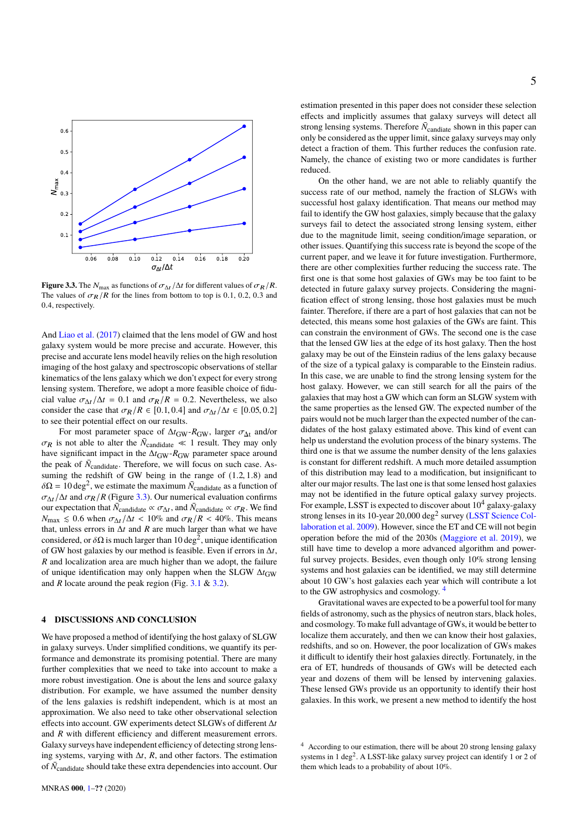<span id="page-4-1"></span>

**Figure 3.3.** The  $N_{\text{max}}$  as functions of  $\sigma_{\Delta t}/\Delta t$  for different values of  $\sigma_R/R$ . The values of  $\sigma_R/R$  for the lines from bottom to top is 0.1, 0.2, 0.3 and <sup>0</sup>.4, respectively.

And [Liao et al.](#page-5-36) [\(2017\)](#page-5-36) claimed that the lens model of GW and host galaxy system would be more precise and accurate. However, this precise and accurate lens model heavily relies on the high resolution imaging of the host galaxy and spectroscopic observations of stellar kinematics of the lens galaxy which we don't expect for every strong lensing system. Therefore, we adopt a more feasible choice of fiducial value  $\sigma_{\Delta t}/\Delta t = 0.1$  and  $\sigma_R/R = 0.2$ . Nevertheless, we also consider the case that  $\sigma_R/R \in [0.1, 0.4]$  and  $\sigma_{\Delta t}/\Delta t \in [0.05, 0.2]$ to see their potential effect on our results.

For most parameter space of <sup>∆</sup>*t*GW-*R*GW, larger <sup>σ</sup>∆t and/or  $\sigma_R$  is not able to alter the  $\bar{N}_{\text{candidate}} \ll 1$  result. They may only have significant impact in the  $\Delta t_{\text{cur}} R_{\text{cur}}$  parameter space around have significant impact in the ∆*t*<sub>GW</sub>- $R$ <sub>GW</sub> parameter space around the peak of  $\bar{N}_{\text{candidate}}$ . Therefore, we will focus on such case. Assuming the redshift of GW being in the range of (1.2, <sup>1</sup>.8) and  $\delta \Omega = 10 \text{ deg}^2$ , we estimate the maximum  $\bar{N}_{\text{candidate}}$  as a function of  $\sigma_{\Delta t}/\Delta t$  and  $\sigma_R/R$  (Figure [3.3\)](#page-4-1). Our numerical evaluation confirms our expectation that  $\overline{N}_{\text{candidate}} \propto \sigma_{\Delta t}$ , and  $\overline{N}_{\text{candidate}} \propto \sigma_R$ . We find  $N \leq 0.6$  when  $\sigma_L / \Delta t \leq 10\%$  and  $\sigma_R / R \leq 40\%$ . This means  $N_{\text{max}} \le 0.6$  when  $\sigma_{\Delta t}/\Delta t < 10\%$  and  $\sigma_R/R < 40\%$ . This means that, unless errors in ∆*t* and *R* are much larger than what we have considered, or  $\delta\Omega$  is much larger than  $10 \text{ deg}^2$ , unique identification<br>of GW host galaxies by our method is feasible. Even if errors in At of GW host galaxies by our method is feasible. Even if errors in ∆*t*, *R* and localization area are much higher than we adopt, the failure of unique identification may only happen when the SLGW ∆*t*<sub>GW</sub> and *R* locate around the peak region (Fig.  $3.1 \& 3.2$  $3.1 \& 3.2$ ).

#### <span id="page-4-0"></span>**4 DISCUSSIONS AND CONCLUSION**

We have proposed a method of identifying the host galaxy of SLGW in galaxy surveys. Under simplified conditions, we quantify its performance and demonstrate its promising potential. There are many further complexities that we need to take into account to make a more robust investigation. One is about the lens and source galaxy distribution. For example, we have assumed the number density of the lens galaxies is redshift independent, which is at most an approximation. We also need to take other observational selection effects into account. GW experiments detect SLGWs of different ∆*t* and *R* with different efficiency and different measurement errors. Galaxy surveys have independent efficiency of detecting strong lensing systems, varying with ∆*t*, *R*, and other factors. The estimation of  $\bar{N}_{\rm candidate}$  should take these extra dependencies into account. Our

estimation presented in this paper does not consider these selection effects and implicitly assumes that galaxy surveys will detect all strong lensing systems. Therefore  $\bar{N}_{\text{candidate}}$  shown in this paper can only be considered as the upper limit, since galaxy surveys may only detect a fraction of them. This further reduces the confusion rate. Namely, the chance of existing two or more candidates is further reduced.

On the other hand, we are not able to reliably quantify the success rate of our method, namely the fraction of SLGWs with successful host galaxy identification. That means our method may fail to identify the GW host galaxies, simply because that the galaxy surveys fail to detect the associated strong lensing system, either due to the magnitude limit, seeing condition/image separation, or other issues. Quantifying this success rate is beyond the scope of the current paper, and we leave it for future investigation. Furthermore, there are other complexities further reducing the success rate. The first one is that some host galaxies of GWs may be too faint to be detected in future galaxy survey projects. Considering the magnification effect of strong lensing, those host galaxies must be much fainter. Therefore, if there are a part of host galaxies that can not be detected, this means some host galaxies of the GWs are faint. This can constrain the environment of GWs. The second one is the case that the lensed GW lies at the edge of its host galaxy. Then the host galaxy may be out of the Einstein radius of the lens galaxy because of the size of a typical galaxy is comparable to the Einstein radius. In this case, we are unable to find the strong lensing system for the host galaxy. However, we can still search for all the pairs of the galaxies that may host a GW which can form an SLGW system with the same properties as the lensed GW. The expected number of the pairs would not be much larger than the expected number of the candidates of the host galaxy estimated above. This kind of event can help us understand the evolution process of the binary systems. The third one is that we assume the number density of the lens galaxies is constant for different redshift. A much more detailed assumption of this distribution may lead to a modification, but insignificant to alter our major results. The last one is that some lensed host galaxies may not be identified in the future optical galaxy survey projects. For example, LSST is expected to discover about  $10^4$  galaxy-galaxy strong lenses in its 10-year 20,000 deg<sup>2</sup> survey [\(LSST Science Col](#page-5-38)[laboration et al.](#page-5-38) [2009\)](#page-5-38). However, since the ET and CE will not begin operation before the mid of the 2030s [\(Maggiore et al.](#page-5-48) [2019\)](#page-5-48), we still have time to develop a more advanced algorithm and powerful survey projects. Besides, even though only 10% strong lensing systems and host galaxies can be identified, we may still determine about 10 GW's host galaxies each year which will contribute a lot to the GW astrophysics and cosmology. [4](#page-4-2)

Gravitational waves are expected to be a powerful tool for many fields of astronomy, such as the physics of neutron stars, black holes, and cosmology. To make full advantage of GWs, it would be better to localize them accurately, and then we can know their host galaxies, redshifts, and so on. However, the poor localization of GWs makes it difficult to identify their host galaxies directly. Fortunately, in the era of ET, hundreds of thousands of GWs will be detected each year and dozens of them will be lensed by intervening galaxies. These lensed GWs provide us an opportunity to identify their host galaxies. In this work, we present a new method to identify the host

<span id="page-4-2"></span><sup>4</sup> According to our estimation, there will be about 20 strong lensing galaxy systems in 1 deg<sup>2</sup>. A LSST-like galaxy survey project can identify 1 or 2 of them which leads to a probability of about 10%.